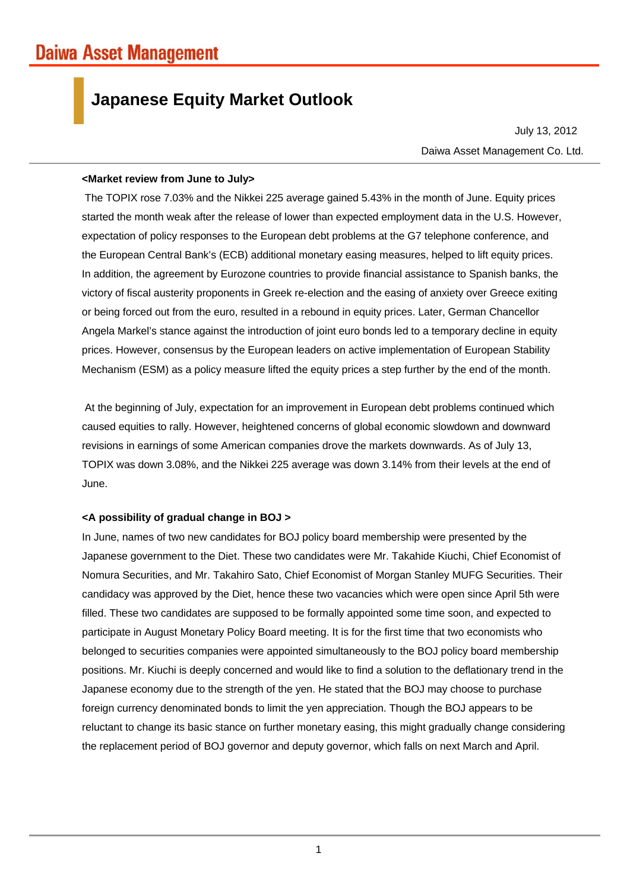## **Japanese Equity Market Outlook**

Daiwa Asset Management Co. Ltd. July 13, 2012

## **<Market review from June to July>**

The TOPIX rose 7.03% and the Nikkei 225 average gained 5.43% in the month of June. Equity prices started the month weak after the release of lower than expected employment data in the U.S. However, expectation of policy responses to the European debt problems at the G7 telephone conference, and the European Central Bank's (ECB) additional monetary easing measures, helped to lift equity prices. In addition, the agreement by Eurozone countries to provide financial assistance to Spanish banks, the victory of fiscal austerity proponents in Greek re-election and the easing of anxiety over Greece exiting or being forced out from the euro, resulted in a rebound in equity prices. Later, German Chancellor Angela Markel's stance against the introduction of joint euro bonds led to a temporary decline in equity prices. However, consensus by the European leaders on active implementation of European Stability Mechanism (ESM) as a policy measure lifted the equity prices a step further by the end of the month.

At the beginning of July, expectation for an improvement in European debt problems continued which caused equities to rally. However, heightened concerns of global economic slowdown and downward revisions in earnings of some American companies drove the markets downwards. As of July 13, TOPIX was down 3.08%, and the Nikkei 225 average was down 3.14% from their levels at the end of June.

## **<A possibility of gradual change in BOJ >**

In June, names of two new candidates for BOJ policy board membership were presented by the Japanese government to the Diet. These two candidates were Mr. Takahide Kiuchi, Chief Economist of Nomura Securities, and Mr. Takahiro Sato, Chief Economist of Morgan Stanley MUFG Securities. Their candidacy was approved by the Diet, hence these two vacancies which were open since April 5th were filled. These two candidates are supposed to be formally appointed some time soon, and expected to participate in August Monetary Policy Board meeting. It is for the first time that two economists who belonged to securities companies were appointed simultaneously to the BOJ policy board membership positions. Mr. Kiuchi is deeply concerned and would like to find a solution to the deflationary trend in the Japanese economy due to the strength of the yen. He stated that the BOJ may choose to purchase foreign currency denominated bonds to limit the yen appreciation. Though the BOJ appears to be reluctant to change its basic stance on further monetary easing, this might gradually change considering the replacement period of BOJ governor and deputy governor, which falls on next March and April.